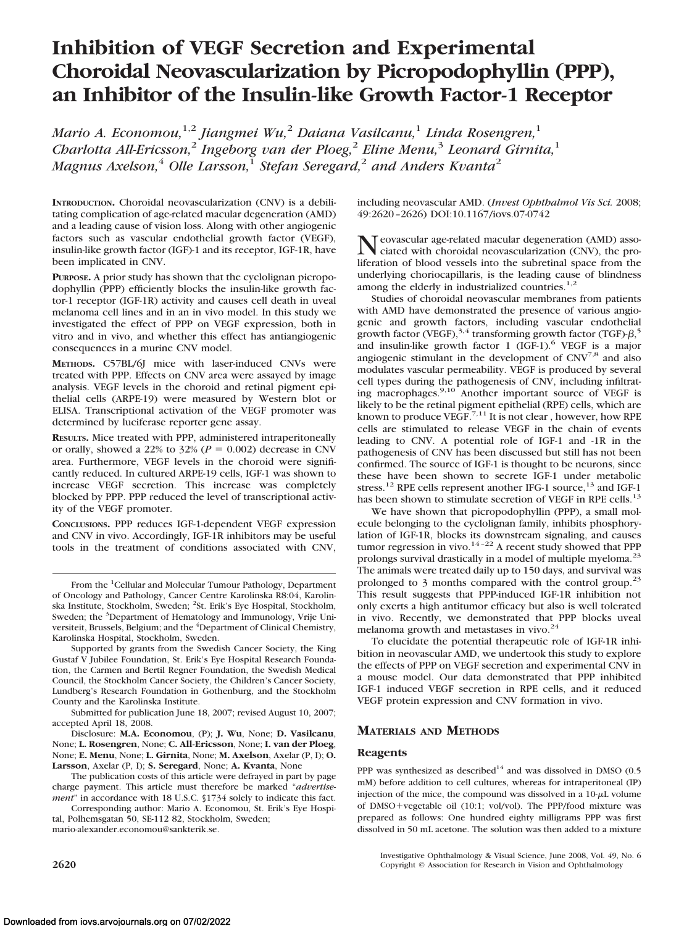# **Inhibition of VEGF Secretion and Experimental Choroidal Neovascularization by Picropodophyllin (PPP), an Inhibitor of the Insulin-like Growth Factor-1 Receptor**

*Mario A. Economou,*1,2 *Jiangmei Wu,*<sup>2</sup> *Daiana Vasilcanu,*<sup>1</sup> *Linda Rosengren,*<sup>1</sup> *Charlotta All-Ericsson,*<sup>2</sup> *Ingeborg van der Ploeg,*<sup>2</sup> *Eline Menu,*<sup>3</sup> *Leonard Girnita,*<sup>1</sup> *Magnus Axelson,*<sup>4</sup> *Olle Larsson,*<sup>1</sup> *Stefan Seregard,*<sup>2</sup> *and Anders Kvanta*<sup>2</sup>

**INTRODUCTION.** Choroidal neovascularization (CNV) is a debilitating complication of age-related macular degeneration (AMD) and a leading cause of vision loss. Along with other angiogenic factors such as vascular endothelial growth factor (VEGF), insulin-like growth factor (IGF)-1 and its receptor, IGF-1R, have been implicated in CNV.

**PURPOSE.** A prior study has shown that the cyclolignan picropodophyllin (PPP) efficiently blocks the insulin-like growth factor-1 receptor (IGF-1R) activity and causes cell death in uveal melanoma cell lines and in an in vivo model. In this study we investigated the effect of PPP on VEGF expression, both in vitro and in vivo, and whether this effect has antiangiogenic consequences in a murine CNV model.

**METHODS.** C57BL/6J mice with laser-induced CNVs were treated with PPP. Effects on CNV area were assayed by image analysis. VEGF levels in the choroid and retinal pigment epithelial cells (ARPE-19) were measured by Western blot or ELISA. Transcriptional activation of the VEGF promoter was determined by luciferase reporter gene assay.

**RESULTS.** Mice treated with PPP, administered intraperitoneally or orally, showed a 22% to 32% ( $P = 0.002$ ) decrease in CNV area. Furthermore, VEGF levels in the choroid were significantly reduced. In cultured ARPE-19 cells, IGF-1 was shown to increase VEGF secretion. This increase was completely blocked by PPP. PPP reduced the level of transcriptional activity of the VEGF promoter.

**CONCLUSIONS.** PPP reduces IGF-1-dependent VEGF expression and CNV in vivo. Accordingly, IGF-1R inhibitors may be useful tools in the treatment of conditions associated with CNV,

Supported by grants from the Swedish Cancer Society, the King Gustaf V Jubilee Foundation, St. Erik's Eye Hospital Research Foundation, the Carmen and Bertil Regner Foundation, the Swedish Medical Council, the Stockholm Cancer Society, the Children's Cancer Society, Lundberg's Research Foundation in Gothenburg, and the Stockholm County and the Karolinska Institute.

Submitted for publication June 18, 2007; revised August 10, 2007; accepted April 18, 2008.

Disclosure: **M.A. Economou**, (P); **J. Wu**, None; **D. Vasilcanu**, None; **L. Rosengren**, None; **C. All-Ericsson**, None; **I. van der Ploeg**, None; **E. Menu**, None; **L. Girnita**, None; **M. Axelson**, Axelar (P, I); **O. Larsson**, Axelar (P, I); **S. Seregard**, None; **A. Kvanta**, None

The publication costs of this article were defrayed in part by page charge payment. This article must therefore be marked "*advertisement*" in accordance with 18 U.S.C. §1734 solely to indicate this fact.

Corresponding author: Mario A. Economou, St. Erik's Eye Hospital, Polhemsgatan 50, SE-112 82, Stockholm, Sweden; mario-alexander.economou@sankterik.se.

including neovascular AMD. (*Invest Ophthalmol Vis Sci.* 2008; 49:2620 –2626) DOI:10.1167/iovs.07-0742

Neovascular age-related macular degeneration (AMD) associated with choroidal neovascularization (CNV), the proliferation of blood vessels into the subretinal space from the underlying choriocapillaris, is the leading cause of blindness among the elderly in industrialized countries.<sup>1,2</sup>

Studies of choroidal neovascular membranes from patients with AMD have demonstrated the presence of various angiogenic and growth factors, including vascular endothelial growth factor (VEGF),  $3,4$  transforming growth factor (TGF)- $\beta$ ,  $5$ and insulin-like growth factor 1 (IGF-1).<sup>6</sup> VEGF is a major angiogenic stimulant in the development of  $CNV^{7,8}$  and also modulates vascular permeability. VEGF is produced by several cell types during the pathogenesis of CNV, including infiltrating macrophages.<sup>9,10</sup> Another important source of VEGF is likely to be the retinal pigment epithelial (RPE) cells, which are known to produce VEGF.<sup>7,11</sup> It is not clear, however, how RPE cells are stimulated to release VEGF in the chain of events leading to CNV. A potential role of IGF-1 and -1R in the pathogenesis of CNV has been discussed but still has not been confirmed. The source of IGF-1 is thought to be neurons, since these have been shown to secrete IGF-1 under metabolic stress.<sup>12</sup> RPE cells represent another IFG-1 source,<sup>13</sup> and IGF-1 has been shown to stimulate secretion of VEGF in RPE cells.<sup>13</sup>

We have shown that picropodophyllin (PPP), a small molecule belonging to the cyclolignan family, inhibits phosphorylation of IGF-1R, blocks its downstream signaling, and causes tumor regression in vivo. $14 - 22$  A recent study showed that PPP prolongs survival drastically in a model of multiple myeloma.23 The animals were treated daily up to 150 days, and survival was prolonged to 3 months compared with the control group.<sup>23</sup> This result suggests that PPP-induced IGF-1R inhibition not only exerts a high antitumor efficacy but also is well tolerated in vivo. Recently, we demonstrated that PPP blocks uveal melanoma growth and metastases in vivo.<sup>2</sup>

To elucidate the potential therapeutic role of IGF-1R inhibition in neovascular AMD, we undertook this study to explore the effects of PPP on VEGF secretion and experimental CNV in a mouse model. Our data demonstrated that PPP inhibited IGF-1 induced VEGF secretion in RPE cells, and it reduced VEGF protein expression and CNV formation in vivo.

# **MATERIALS AND METHODS**

#### **Reagents**

PPP was synthesized as described<sup>14</sup> and was dissolved in DMSO  $(0.5)$ mM) before addition to cell cultures, whereas for intraperitoneal (IP) injection of the mice, the compound was dissolved in a  $10-\mu L$  volume of DMSO-vegetable oil (10:1; vol/vol). The PPP/food mixture was prepared as follows: One hundred eighty milligrams PPP was first dissolved in 50 mL acetone. The solution was then added to a mixture

Investigative Ophthalmology & Visual Science, June 2008, Vol. 49, No. 6 **2620 Copyright** © Association for Research in Vision and Ophthalmology

From the <sup>1</sup>Cellular and Molecular Tumour Pathology, Department of Oncology and Pathology, Cancer Centre Karolinska R8:04, Karolinska Institute, Stockholm, Sweden; <sup>2</sup>St. Erik's Eye Hospital, Stockholm, Sweden; the <sup>3</sup>Department of Hematology and Immunology, Vrije Universiteit, Brussels, Belgium; and the <sup>4</sup>Department of Clinical Chemistry, Karolinska Hospital, Stockholm, Sweden.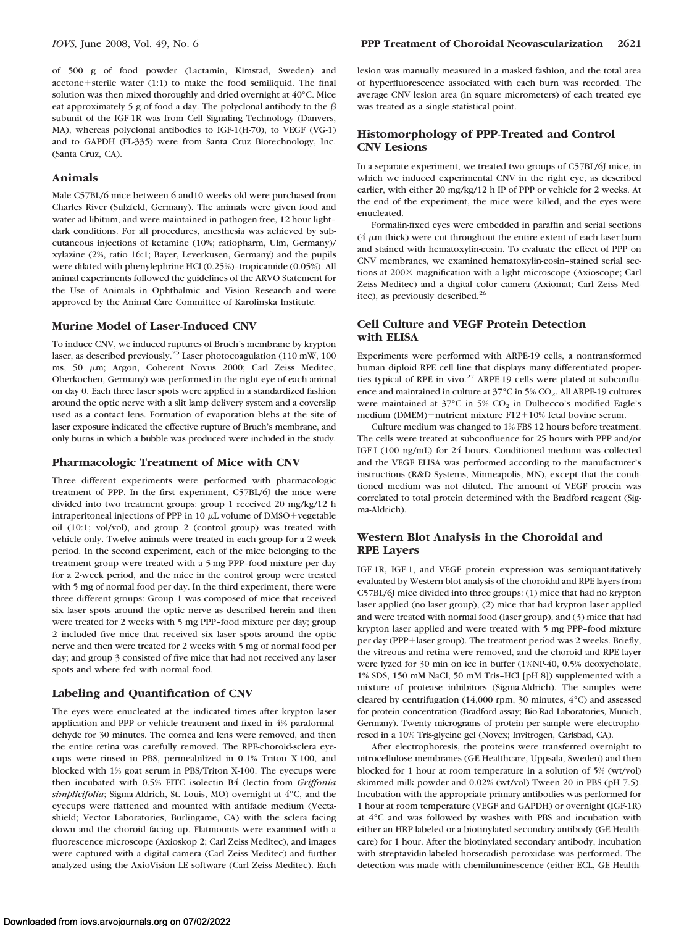of 500 g of food powder (Lactamin, Kimstad, Sweden) and acetone+sterile water (1:1) to make the food semiliquid. The final solution was then mixed thoroughly and dried overnight at 40°C. Mice eat approximately 5 g of food a day. The polyclonal antibody to the  $\beta$ subunit of the IGF-1R was from Cell Signaling Technology (Danvers, MA), whereas polyclonal antibodies to IGF-1(H-70), to VEGF (VG-1) and to GAPDH (FL-335) were from Santa Cruz Biotechnology, Inc. (Santa Cruz, CA).

#### **Animals**

Male C57BL/6 mice between 6 and10 weeks old were purchased from Charles River (Sulzfeld, Germany). The animals were given food and water ad libitum, and were maintained in pathogen-free, 12-hour light– dark conditions. For all procedures, anesthesia was achieved by subcutaneous injections of ketamine (10%; ratiopharm, Ulm, Germany)/ xylazine (2%, ratio 16:1; Bayer, Leverkusen, Germany) and the pupils were dilated with phenylephrine HCl (0.25%)–tropicamide (0.05%). All animal experiments followed the guidelines of the ARVO Statement for the Use of Animals in Ophthalmic and Vision Research and were approved by the Animal Care Committee of Karolinska Institute.

#### **Murine Model of Laser-Induced CNV**

To induce CNV, we induced ruptures of Bruch's membrane by krypton laser, as described previously.25 Laser photocoagulation (110 mW, 100 ms, 50  $\mu$ m; Argon, Coherent Novus 2000; Carl Zeiss Meditec, Oberkochen, Germany) was performed in the right eye of each animal on day 0. Each three laser spots were applied in a standardized fashion around the optic nerve with a slit lamp delivery system and a coverslip used as a contact lens. Formation of evaporation blebs at the site of laser exposure indicated the effective rupture of Bruch's membrane, and only burns in which a bubble was produced were included in the study.

#### **Pharmacologic Treatment of Mice with CNV**

Three different experiments were performed with pharmacologic treatment of PPP. In the first experiment, C57BL/6J the mice were divided into two treatment groups: group 1 received 20 mg/kg/12 h intraperitoneal injections of PPP in  $10 \mu$ L volume of DMSO+vegetable oil (10:1; vol/vol), and group 2 (control group) was treated with vehicle only. Twelve animals were treated in each group for a 2-week period. In the second experiment, each of the mice belonging to the treatment group were treated with a 5-mg PPP–food mixture per day for a 2-week period, and the mice in the control group were treated with 5 mg of normal food per day. In the third experiment, there were three different groups: Group 1 was composed of mice that received six laser spots around the optic nerve as described herein and then were treated for 2 weeks with 5 mg PPP–food mixture per day; group 2 included five mice that received six laser spots around the optic nerve and then were treated for 2 weeks with 5 mg of normal food per day; and group 3 consisted of five mice that had not received any laser spots and where fed with normal food.

#### **Labeling and Quantification of CNV**

The eyes were enucleated at the indicated times after krypton laser application and PPP or vehicle treatment and fixed in 4% paraformaldehyde for 30 minutes. The cornea and lens were removed, and then the entire retina was carefully removed. The RPE-choroid-sclera eyecups were rinsed in PBS, permeabilized in 0.1% Triton X-100, and blocked with 1% goat serum in PBS/Triton X-100. The eyecups were then incubated with 0.5% FITC isolectin B4 (lectin from *Griffonia simplicifolia*; Sigma-Aldrich, St. Louis, MO) overnight at 4°C, and the eyecups were flattened and mounted with antifade medium (Vectashield; Vector Laboratories, Burlingame, CA) with the sclera facing down and the choroid facing up. Flatmounts were examined with a fluorescence microscope (Axioskop 2; Carl Zeiss Meditec), and images were captured with a digital camera (Carl Zeiss Meditec) and further analyzed using the AxioVision LE software (Carl Zeiss Meditec). Each

lesion was manually measured in a masked fashion, and the total area of hyperfluorescence associated with each burn was recorded. The average CNV lesion area (in square micrometers) of each treated eye was treated as a single statistical point.

#### **Histomorphology of PPP-Treated and Control CNV Lesions**

In a separate experiment, we treated two groups of C57BL/6J mice, in which we induced experimental CNV in the right eye, as described earlier, with either 20 mg/kg/12 h IP of PPP or vehicle for 2 weeks. At the end of the experiment, the mice were killed, and the eyes were enucleated.

Formalin-fixed eyes were embedded in paraffin and serial sections  $(4 \mu m)$  thick) were cut throughout the entire extent of each laser burn and stained with hematoxylin-eosin. To evaluate the effect of PPP on CNV membranes, we examined hematoxylin-eosin–stained serial sections at  $200\times$  magnification with a light microscope (Axioscope; Carl Zeiss Meditec) and a digital color camera (Axiomat; Carl Zeiss Meditec), as previously described.<sup>26</sup>

# **Cell Culture and VEGF Protein Detection with ELISA**

Experiments were performed with ARPE-19 cells, a nontransformed human diploid RPE cell line that displays many differentiated properties typical of RPE in vivo. $27$  ARPE-19 cells were plated at subconfluence and maintained in culture at  $37^{\circ}$ C in 5% CO<sub>2</sub>. All ARPE-19 cultures were maintained at  $37^{\circ}$ C in  $5\%$  CO<sub>2</sub> in Dulbecco's modified Eagle's medium (DMEM)-nutrient mixture F12-10% fetal bovine serum.

Culture medium was changed to 1% FBS 12 hours before treatment. The cells were treated at subconfluence for 25 hours with PPP and/or IGF-I (100 ng/mL) for 24 hours. Conditioned medium was collected and the VEGF ELISA was performed according to the manufacturer's instructions (R&D Systems, Minneapolis, MN), except that the conditioned medium was not diluted. The amount of VEGF protein was correlated to total protein determined with the Bradford reagent (Sigma-Aldrich).

# **Western Blot Analysis in the Choroidal and RPE Layers**

IGF-1R, IGF-1, and VEGF protein expression was semiquantitatively evaluated by Western blot analysis of the choroidal and RPE layers from C57BL/6J mice divided into three groups: (1) mice that had no krypton laser applied (no laser group), (2) mice that had krypton laser applied and were treated with normal food (laser group), and (3) mice that had krypton laser applied and were treated with 5 mg PPP–food mixture per day (PPP-laser group). The treatment period was 2 weeks. Briefly, the vitreous and retina were removed, and the choroid and RPE layer were lyzed for 30 min on ice in buffer (1%NP-40, 0.5% deoxycholate, 1% SDS, 150 mM NaCl, 50 mM Tris–HCl [pH 8]) supplemented with a mixture of protease inhibitors (Sigma-Aldrich). The samples were cleared by centrifugation (14,000 rpm, 30 minutes, 4°C) and assessed for protein concentration (Bradford assay; Bio-Rad Laboratories, Munich, Germany). Twenty micrograms of protein per sample were electrophoresed in a 10% Tris-glycine gel (Novex; Invitrogen, Carlsbad, CA).

After electrophoresis, the proteins were transferred overnight to nitrocellulose membranes (GE Healthcare, Uppsala, Sweden) and then blocked for 1 hour at room temperature in a solution of 5% (wt/vol) skimmed milk powder and 0.02% (wt/vol) Tween 20 in PBS (pH 7.5). Incubation with the appropriate primary antibodies was performed for 1 hour at room temperature (VEGF and GAPDH) or overnight (IGF-1R) at 4°C and was followed by washes with PBS and incubation with either an HRP-labeled or a biotinylated secondary antibody (GE Healthcare) for 1 hour. After the biotinylated secondary antibody, incubation with streptavidin-labeled horseradish peroxidase was performed. The detection was made with chemiluminescence (either ECL, GE Health-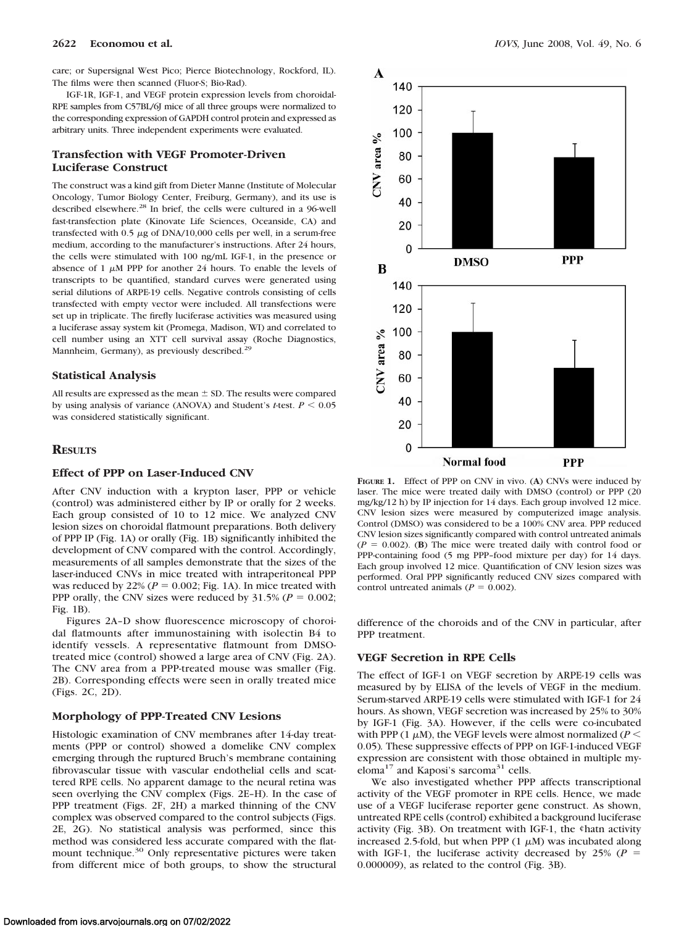care; or Supersignal West Pico; Pierce Biotechnology, Rockford, IL). The films were then scanned (Fluor-S; Bio-Rad).

IGF-1R, IGF-1, and VEGF protein expression levels from choroidal-RPE samples from C57BL/6J mice of all three groups were normalized to the corresponding expression of GAPDH control protein and expressed as arbitrary units. Three independent experiments were evaluated.

## **Transfection with VEGF Promoter-Driven Luciferase Construct**

The construct was a kind gift from Dieter Manne (Institute of Molecular Oncology, Tumor Biology Center, Freiburg, Germany), and its use is described elsewhere.<sup>28</sup> In brief, the cells were cultured in a 96-well fast-transfection plate (Kinovate Life Sciences, Oceanside, CA) and transfected with  $0.5 \mu$ g of DNA/10,000 cells per well, in a serum-free medium, according to the manufacturer's instructions. After 24 hours, the cells were stimulated with 100 ng/mL IGF-1, in the presence or absence of  $1 \mu M$  PPP for another 24 hours. To enable the levels of transcripts to be quantified, standard curves were generated using serial dilutions of ARPE-19 cells. Negative controls consisting of cells transfected with empty vector were included. All transfections were set up in triplicate. The firefly luciferase activities was measured using a luciferase assay system kit (Promega, Madison, WI) and correlated to cell number using an XTT cell survival assay (Roche Diagnostics, Mannheim, Germany), as previously described.<sup>29</sup>

#### **Statistical Analysis**

All results are expressed as the mean  $\pm$  SD. The results were compared by using analysis of variance (ANOVA) and Student's *t*-test.  $P \leq 0.05$ was considered statistically significant.

#### **RESULTS**

#### **Effect of PPP on Laser-Induced CNV**

After CNV induction with a krypton laser, PPP or vehicle (control) was administered either by IP or orally for 2 weeks. Each group consisted of 10 to 12 mice. We analyzed CNV lesion sizes on choroidal flatmount preparations. Both delivery of PPP IP (Fig. 1A) or orally (Fig. 1B) significantly inhibited the development of CNV compared with the control. Accordingly, measurements of all samples demonstrate that the sizes of the laser-induced CNVs in mice treated with intraperitoneal PPP was reduced by  $22\%$  ( $P = 0.002$ ; Fig. 1A). In mice treated with PPP orally, the CNV sizes were reduced by  $31.5\%$  ( $P = 0.002$ ; Fig. 1B).

Figures 2A–D show fluorescence microscopy of choroidal flatmounts after immunostaining with isolectin B4 to identify vessels. A representative flatmount from DMSOtreated mice (control) showed a large area of CNV (Fig. 2A). The CNV area from a PPP-treated mouse was smaller (Fig. 2B). Corresponding effects were seen in orally treated mice (Figs. 2C, 2D).

#### **Morphology of PPP-Treated CNV Lesions**

Histologic examination of CNV membranes after 14-day treatments (PPP or control) showed a domelike CNV complex emerging through the ruptured Bruch's membrane containing fibrovascular tissue with vascular endothelial cells and scattered RPE cells. No apparent damage to the neural retina was seen overlying the CNV complex (Figs. 2E–H). In the case of PPP treatment (Figs. 2F, 2H) a marked thinning of the CNV complex was observed compared to the control subjects (Figs. 2E, 2G). No statistical analysis was performed, since this method was considered less accurate compared with the flatmount technique.<sup>30</sup> Only representative pictures were taken from different mice of both groups, to show the structural



**FIGURE 1.** Effect of PPP on CNV in vivo. (**A**) CNVs were induced by laser. The mice were treated daily with DMSO (control) or PPP (20 mg/kg/12 h) by IP injection for 14 days. Each group involved 12 mice. CNV lesion sizes were measured by computerized image analysis. Control (DMSO) was considered to be a 100% CNV area. PPP reduced CNV lesion sizes significantly compared with control untreated animals  $(P = 0.002)$ . (**B**) The mice were treated daily with control food or PPP-containing food (5 mg PPP–food mixture per day) for 14 days. Each group involved 12 mice. Quantification of CNV lesion sizes was performed. Oral PPP significantly reduced CNV sizes compared with control untreated animals ( $P = 0.002$ ).

difference of the choroids and of the CNV in particular, after PPP treatment.

# **VEGF Secretion in RPE Cells**

The effect of IGF-1 on VEGF secretion by ARPE-19 cells was measured by by ELISA of the levels of VEGF in the medium. Serum-starved ARPE-19 cells were stimulated with IGF-1 for 24 hours. As shown, VEGF secretion was increased by 25% to 30% by IGF-1 (Fig. 3A). However, if the cells were co-incubated with PPP (1  $\mu$ M), the VEGF levels were almost normalized (*P* < 0.05)*.* These suppressive effects of PPP on IGF-1-induced VEGF expression are consistent with those obtained in multiple myeloma<sup>17</sup> and Kaposi's sarcoma<sup>31</sup> cells.

We also investigated whether PPP affects transcriptional activity of the VEGF promoter in RPE cells. Hence, we made use of a VEGF luciferase reporter gene construct. As shown, untreated RPE cells (control) exhibited a background luciferase activity (Fig. 3B). On treatment with IGF-1, the ¢hatn activity increased 2.5-fold, but when PPP  $(1 \mu M)$  was incubated along with IGF-1, the luciferase activity decreased by  $25\%$  ( $P =$ 0.000009), as related to the control (Fig. 3B).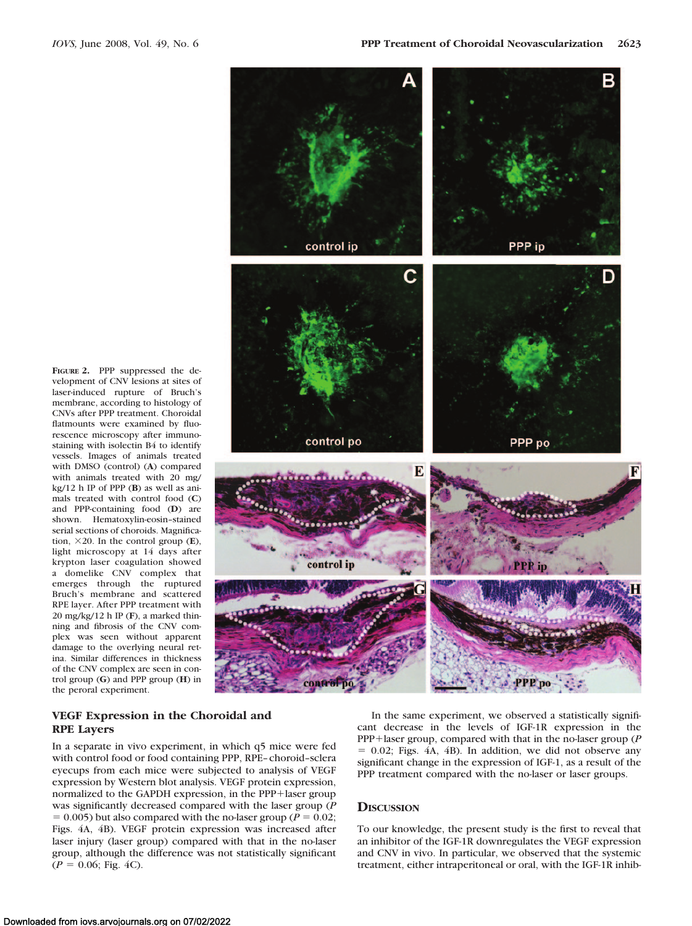

**FIGURE 2.** PPP suppressed the development of CNV lesions at sites of laser-induced rupture of Bruch's membrane, according to histology of CNVs after PPP treatment. Choroidal flatmounts were examined by fluorescence microscopy after immunostaining with isolectin B4 to identify vessels. Images of animals treated with DMSO (control) (**A**) compared with animals treated with 20 mg/ kg/12 h IP of PPP (**B**) as well as animals treated with control food (**C**) and PPP-containing food (**D**) are shown. Hematoxylin-eosin–stained serial sections of choroids. Magnification, 20. In the control group (**E**), light microscopy at 14 days after krypton laser coagulation showed a domelike CNV complex that emerges through the ruptured Bruch's membrane and scattered RPE layer. After PPP treatment with 20 mg/kg/12 h IP (**F**), a marked thinning and fibrosis of the CNV complex was seen without apparent damage to the overlying neural retina. Similar differences in thickness of the CNV complex are seen in control group (**G**) and PPP group (**H**) in the peroral experiment.

# **VEGF Expression in the Choroidal and RPE Layers**

In a separate in vivo experiment, in which q5 mice were fed with control food or food containing PPP, RPE–choroid–sclera eyecups from each mice were subjected to analysis of VEGF expression by Western blot analysis. VEGF protein expression, normalized to the GAPDH expression, in the PPP-laser group was significantly decreased compared with the laser group (*P*  $= 0.005$ ) but also compared with the no-laser group ( $P = 0.02$ ; Figs. 4A, 4B). VEGF protein expression was increased after laser injury (laser group) compared with that in the no-laser group, although the difference was not statistically significant  $(P = 0.06;$  Fig. 4C).

In the same experiment, we observed a statistically significant decrease in the levels of IGF-1R expression in the PPP-laser group, compared with that in the no-laser group (*P*  $= 0.02$ ; Figs. 4A, 4B). In addition, we did not observe any significant change in the expression of IGF-1, as a result of the PPP treatment compared with the no-laser or laser groups.

#### **DISCUSSION**

To our knowledge, the present study is the first to reveal that an inhibitor of the IGF-1R downregulates the VEGF expression and CNV in vivo. In particular, we observed that the systemic treatment, either intraperitoneal or oral, with the IGF-1R inhib-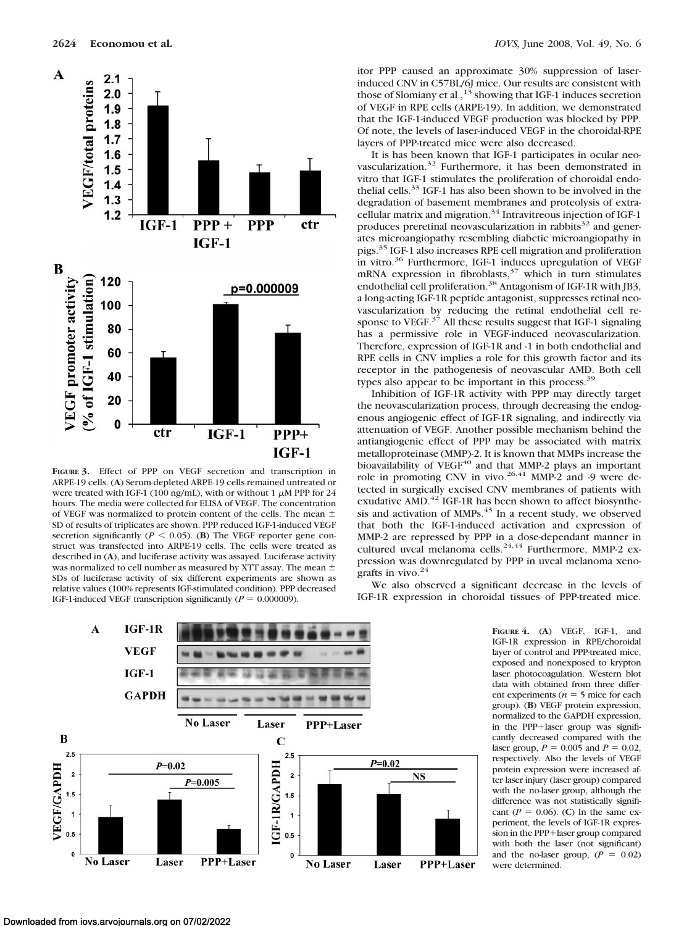

**FIGURE 3.** Effect of PPP on VEGF secretion and transcription in ARPE-19 cells. (**A**) Serum-depleted ARPE-19 cells remained untreated or were treated with IGF-1 (100 ng/mL), with or without 1  $\mu$ M PPP for 24 hours. The media were collected for ELISA of VEGF. The concentration of VEGF was normalized to protein content of the cells. The mean  $\pm$ SD of results of triplicates are shown. PPP reduced IGF-1-induced VEGF secretion significantly ( $P < 0.05$ ). (**B**) The VEGF reporter gene construct was transfected into ARPE-19 cells. The cells were treated as described in (**A**), and luciferase activity was assayed. Luciferase activity was normalized to cell number as measured by XTT assay. The mean  $\pm$ SDs of luciferase activity of six different experiments are shown as relative values (100% represents IGF-stimulated condition). PPP decreased IGF-1-induced VEGF transcription significantly  $(P = 0.000009)$ .

itor PPP caused an approximate 30% suppression of laserinduced CNV in C57BL/6J mice. Our results are consistent with those of Slomiany et al., $^{13}$  showing that IGF-1 induces secretion of VEGF in RPE cells (ARPE-19). In addition, we demonstrated that the IGF-1-induced VEGF production was blocked by PPP. Of note, the levels of laser-induced VEGF in the choroidal-RPE layers of PPP-treated mice were also decreased.

It is has been known that IGF-1 participates in ocular neovascularization.<sup>32</sup> Furthermore, it has been demonstrated in vitro that IGF-1 stimulates the proliferation of choroidal endothelial cells.<sup>33</sup> IGF-1 has also been shown to be involved in the degradation of basement membranes and proteolysis of extracellular matrix and migration.34 Intravitreous injection of IGF-1 produces preretinal neovascularization in rabbits $32$  and generates microangiopathy resembling diabetic microangiopathy in pigs.35 IGF-1 also increases RPE cell migration and proliferation in vitro.<sup>36</sup> Furthermore, IGF-1 induces upregulation of VEGF mRNA expression in fibroblasts, $37$  which in turn stimulates endothelial cell proliferation.<sup>38</sup> Antagonism of IGF-1R with JB3, a long-acting IGF-1R peptide antagonist, suppresses retinal neovascularization by reducing the retinal endothelial cell response to VEGF. $37$  All these results suggest that IGF-1 signaling has a permissive role in VEGF-induced neovascularization. Therefore, expression of IGF-1R and -1 in both endothelial and RPE cells in CNV implies a role for this growth factor and its receptor in the pathogenesis of neovascular AMD. Both cell types also appear to be important in this process.<sup>39</sup>

Inhibition of IGF-1R activity with PPP may directly target the neovascularization process, through decreasing the endogenous angiogenic effect of IGF-1R signaling, and indirectly via attenuation of VEGF. Another possible mechanism behind the antiangiogenic effect of PPP may be associated with matrix metalloproteinase (MMP)-2. It is known that MMPs increase the bioavailability of VEGF<sup>40</sup> and that MMP-2 plays an important role in promoting CNV in vivo. $26,41$  MMP-2 and -9 were detected in surgically excised CNV membranes of patients with exudative AMD.<sup>42</sup> IGF-1R has been shown to affect biosynthesis and activation of MMPs.<sup>43</sup> In a recent study, we observed that both the IGF-1-induced activation and expression of MMP-2 are repressed by PPP in a dose-dependant manner in cultured uveal melanoma cells.<sup>24,44</sup> Furthermore, MMP-2 expression was downregulated by PPP in uveal melanoma xenografts in vivo.<sup>24</sup>

We also observed a significant decrease in the levels of IGF-1R expression in choroidal tissues of PPP-treated mice.



IGF-1R expression in RPE/choroidal layer of control and PPP-treated mice, exposed and nonexposed to krypton laser photocoagulation. Western blot data with obtained from three different experiments ( $n = 5$  mice for each group). (**B**) VEGF protein expression, normalized to the GAPDH expression, in the PPP-laser group was significantly decreased compared with the laser group,  $P = 0.005$  and  $P = 0.02$ , respectively. Also the levels of VEGF protein expression were increased after laser injury (laser group) compared with the no-laser group, although the difference was not statistically significant  $(P = 0.06)$ . (C) In the same experiment, the levels of IGF-1R expression in the PPP-laser group compared with both the laser (not significant) and the no-laser group,  $(P = 0.02)$ were determined.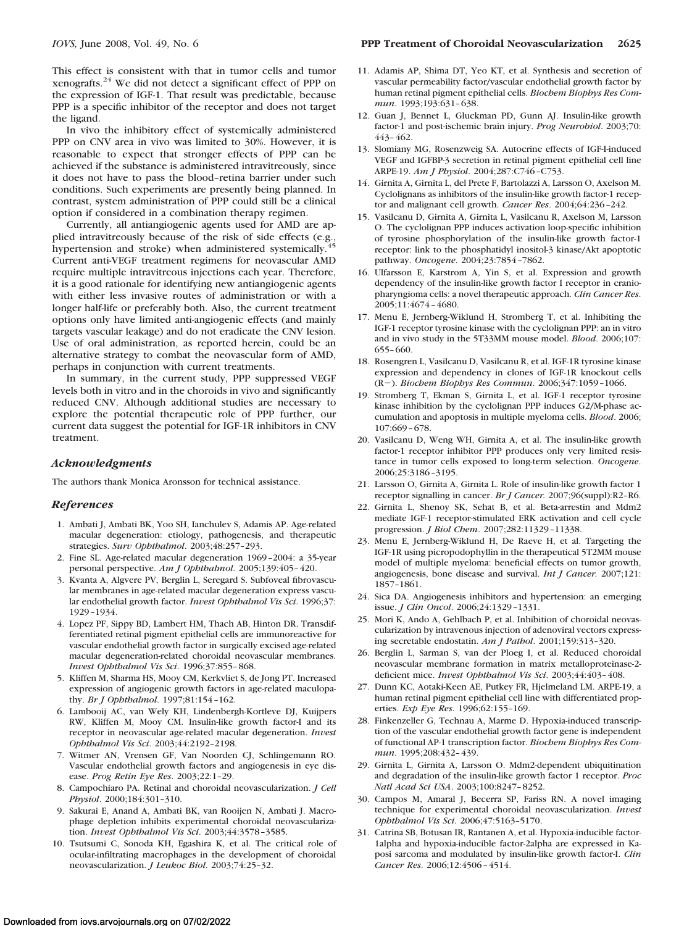This effect is consistent with that in tumor cells and tumor xenografts.24 We did not detect a significant effect of PPP on the expression of IGF-1. That result was predictable, because PPP is a specific inhibitor of the receptor and does not target the ligand.

In vivo the inhibitory effect of systemically administered PPP on CNV area in vivo was limited to 30%. However, it is reasonable to expect that stronger effects of PPP can be achieved if the substance is administered intravitreously, since it does not have to pass the blood–retina barrier under such conditions. Such experiments are presently being planned. In contrast, system administration of PPP could still be a clinical option if considered in a combination therapy regimen.

Currently, all antiangiogenic agents used for AMD are applied intravitreously because of the risk of side effects (e.g.,  $\frac{1}{2}$ ) hypertension and stroke) when administered systemically.<sup>4</sup> Current anti-VEGF treatment regimens for neovascular AMD require multiple intravitreous injections each year. Therefore, it is a good rationale for identifying new antiangiogenic agents with either less invasive routes of administration or with a longer half-life or preferably both. Also, the current treatment options only have limited anti-angiogenic effects (and mainly targets vascular leakage) and do not eradicate the CNV lesion. Use of oral administration, as reported herein, could be an alternative strategy to combat the neovascular form of AMD, perhaps in conjunction with current treatments.

In summary, in the current study, PPP suppressed VEGF levels both in vitro and in the choroids in vivo and significantly reduced CNV. Although additional studies are necessary to explore the potential therapeutic role of PPP further, our current data suggest the potential for IGF-1R inhibitors in CNV treatment.

#### *Acknowledgments*

The authors thank Monica Aronsson for technical assistance.

#### *References*

- 1. Ambati J, Ambati BK, Yoo SH, Ianchulev S, Adamis AP. Age-related macular degeneration: etiology, pathogenesis, and therapeutic strategies. *Surv Ophthalmol*. 2003;48:257–293.
- 2. Fine SL. Age-related macular degeneration 1969 –2004: a 35-year personal perspective. *Am J Ophthalmol*. 2005;139:405– 420.
- 3. Kvanta A, Algvere PV, Berglin L, Seregard S. Subfoveal fibrovascular membranes in age-related macular degeneration express vascular endothelial growth factor. *Invest Ophthalmol Vis Sci*. 1996;37: 1929 –1934.
- 4. Lopez PF, Sippy BD, Lambert HM, Thach AB, Hinton DR. Transdifferentiated retinal pigment epithelial cells are immunoreactive for vascular endothelial growth factor in surgically excised age-related macular degeneration-related choroidal neovascular membranes. *Invest Ophthalmol Vis Sci*. 1996;37:855– 868.
- 5. Kliffen M, Sharma HS, Mooy CM, Kerkvliet S, de Jong PT. Increased expression of angiogenic growth factors in age-related maculopathy. *Br J Ophthalmol*. 1997;81:154 –162.
- 6. Lambooij AC, van Wely KH, Lindenbergh-Kortleve DJ, Kuijpers RW, Kliffen M, Mooy CM. Insulin-like growth factor-I and its receptor in neovascular age-related macular degeneration. *Invest Ophthalmol Vis Sci*. 2003;44:2192–2198.
- 7. Witmer AN, Vrensen GF, Van Noorden CJ, Schlingemann RO. Vascular endothelial growth factors and angiogenesis in eye disease. *Prog Retin Eye Res*. 2003;22:1–29.
- 8. Campochiaro PA. Retinal and choroidal neovascularization. *J Cell Physiol*. 2000;184:301–310.
- 9. Sakurai E, Anand A, Ambati BK, van Rooijen N, Ambati J. Macrophage depletion inhibits experimental choroidal neovascularization. *Invest Ophthalmol Vis Sci*. 2003;44:3578 –3585.
- 10. Tsutsumi C, Sonoda KH, Egashira K, et al. The critical role of ocular-infiltrating macrophages in the development of choroidal neovascularization. *J Leukoc Biol*. 2003;74:25–32.
- 11. Adamis AP, Shima DT, Yeo KT, et al. Synthesis and secretion of vascular permeability factor/vascular endothelial growth factor by human retinal pigment epithelial cells. *Biochem Biophys Res Commun*. 1993;193:631– 638.
- 12. Guan J, Bennet L, Gluckman PD, Gunn AJ. Insulin-like growth factor-1 and post-ischemic brain injury. *Prog Neurobiol*. 2003;70: 443– 462.
- 13. Slomiany MG, Rosenzweig SA. Autocrine effects of IGF-I-induced VEGF and IGFBP-3 secretion in retinal pigment epithelial cell line ARPE-19. *Am J Physiol*. 2004;287:C746 –C753.
- 14. Girnita A, Girnita L, del Prete F, Bartolazzi A, Larsson O, Axelson M. Cyclolignans as inhibitors of the insulin-like growth factor-1 receptor and malignant cell growth. *Cancer Res*. 2004;64:236 –242.
- 15. Vasilcanu D, Girnita A, Girnita L, Vasilcanu R, Axelson M, Larsson O. The cyclolignan PPP induces activation loop-specific inhibition of tyrosine phosphorylation of the insulin-like growth factor-1 receptor: link to the phosphatidyl inositol-3 kinase/Akt apoptotic pathway. *Oncogene*. 2004;23:7854 –7862.
- 16. Ulfarsson E, Karstrom A, Yin S, et al. Expression and growth dependency of the insulin-like growth factor I receptor in craniopharyngioma cells: a novel therapeutic approach. *Clin Cancer Res*. 2005;11:4674 – 4680.
- 17. Menu E, Jernberg-Wiklund H, Stromberg T, et al. Inhibiting the IGF-1 receptor tyrosine kinase with the cyclolignan PPP: an in vitro and in vivo study in the 5T33MM mouse model. *Blood*. 2006;107: 655– 660.
- 18. Rosengren L, Vasilcanu D, Vasilcanu R, et al. IGF-1R tyrosine kinase expression and dependency in clones of IGF-1R knockout cells (R). *Biochem Biophys Res Commun*. 2006;347:1059 –1066.
- 19. Stromberg T, Ekman S, Girnita L, et al. IGF-1 receptor tyrosine kinase inhibition by the cyclolignan PPP induces G2/M-phase accumulation and apoptosis in multiple myeloma cells. *Blood*. 2006; 107:669 – 678.
- 20. Vasilcanu D, Weng WH, Girnita A, et al. The insulin-like growth factor-1 receptor inhibitor PPP produces only very limited resistance in tumor cells exposed to long-term selection. *Oncogene*. 2006;25:3186 –3195.
- 21. Larsson O, Girnita A, Girnita L. Role of insulin-like growth factor 1 receptor signalling in cancer. *Br J Cancer.* 2007;96(suppl):R2–R6.
- 22. Girnita L, Shenoy SK, Sehat B, et al. Beta-arrestin and Mdm2 mediate IGF-1 receptor-stimulated ERK activation and cell cycle progression. *J Biol Chem*. 2007;282:11329 –11338.
- 23. Menu E, Jernberg-Wiklund H, De Raeve H, et al. Targeting the IGF-1R using picropodophyllin in the therapeutical 5T2MM mouse model of multiple myeloma: beneficial effects on tumor growth, angiogenesis, bone disease and survival. *Int J Cancer.* 2007;121: 1857–1861.
- 24. Sica DA. Angiogenesis inhibitors and hypertension: an emerging issue. *J Clin Oncol*. 2006;24:1329 –1331.
- 25. Mori K, Ando A, Gehlbach P, et al. Inhibition of choroidal neovascularization by intravenous injection of adenoviral vectors expressing secretable endostatin. *Am J Pathol*. 2001;159:313–320.
- 26. Berglin L, Sarman S, van der Ploeg I, et al. Reduced choroidal neovascular membrane formation in matrix metalloproteinase-2 deficient mice. *Invest Ophthalmol Vis Sci*. 2003;44:403– 408.
- 27. Dunn KC, Aotaki-Keen AE, Putkey FR, Hjelmeland LM. ARPE-19, a human retinal pigment epithelial cell line with differentiated properties. *Exp Eye Res*. 1996;62:155–169.
- 28. Finkenzeller G, Technau A, Marme D. Hypoxia-induced transcription of the vascular endothelial growth factor gene is independent of functional AP-1 transcription factor. *Biochem Biophys Res Commun*. 1995;208:432– 439.
- 29. Girnita L, Girnita A, Larsson O. Mdm2-dependent ubiquitination and degradation of the insulin-like growth factor 1 receptor. *Proc Natl Acad Sci USA*. 2003;100:8247– 8252.
- 30. Campos M, Amaral J, Becerra SP, Fariss RN. A novel imaging technique for experimental choroidal neovascularization. *Invest Ophthalmol Vis Sci*. 2006;47:5163–5170.
- 31. Catrina SB, Botusan IR, Rantanen A, et al. Hypoxia-inducible factor-1alpha and hypoxia-inducible factor-2alpha are expressed in Kaposi sarcoma and modulated by insulin-like growth factor-I. *Clin Cancer Res*. 2006;12:4506 – 4514.